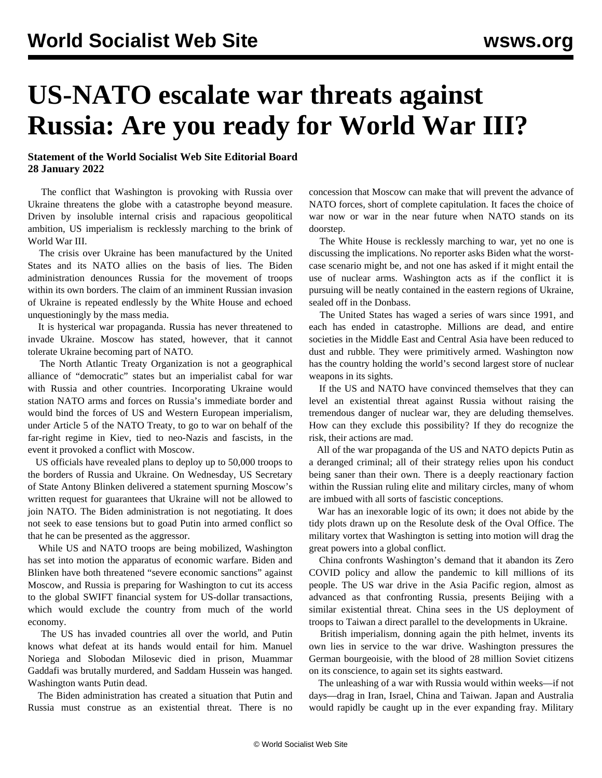## **US-NATO escalate war threats against Russia: Are you ready for World War III?**

## **Statement of the World Socialist Web Site Editorial Board 28 January 2022**

 The conflict that Washington is provoking with Russia over Ukraine threatens the globe with a catastrophe beyond measure. Driven by insoluble internal crisis and rapacious geopolitical ambition, US imperialism is recklessly marching to the brink of World War III.

 The crisis over Ukraine has been manufactured by the United States and its NATO allies on the basis of lies. The Biden administration denounces Russia for the movement of troops within its own borders. The claim of an imminent Russian invasion of Ukraine is repeated endlessly by the White House and echoed unquestioningly by the mass media.

 It is hysterical war propaganda. Russia has never threatened to invade Ukraine. Moscow has stated, however, that it cannot tolerate Ukraine becoming part of NATO.

 The North Atlantic Treaty Organization is not a geographical alliance of "democratic" states but an imperialist cabal for war with Russia and other countries. Incorporating Ukraine would station NATO arms and forces on Russia's immediate border and would bind the forces of US and Western European imperialism, under Article 5 of the NATO Treaty, to go to war on behalf of the far-right regime in Kiev, tied to neo-Nazis and fascists, in the event it provoked a conflict with Moscow.

 US officials have revealed plans to deploy up to 50,000 troops to the borders of Russia and Ukraine. On Wednesday, US Secretary of State Antony Blinken delivered a statement spurning Moscow's written request for guarantees that Ukraine will not be allowed to join NATO. The Biden administration is not negotiating. It does not seek to ease tensions but to goad Putin into armed conflict so that he can be presented as the aggressor.

 While US and NATO troops are being mobilized, Washington has set into motion the apparatus of economic warfare. Biden and Blinken have both threatened "severe economic sanctions" against Moscow, and Russia is preparing for Washington to cut its access to the global SWIFT financial system for US-dollar transactions, which would exclude the country from much of the world economy.

 The US has invaded countries all over the world, and Putin knows what defeat at its hands would entail for him. Manuel Noriega and Slobodan Milosevic died in prison, Muammar Gaddafi was brutally murdered, and Saddam Hussein was hanged. Washington wants Putin dead.

 The Biden administration has created a situation that Putin and Russia must construe as an existential threat. There is no concession that Moscow can make that will prevent the advance of NATO forces, short of complete capitulation. It faces the choice of war now or war in the near future when NATO stands on its doorstep.

 The White House is recklessly marching to war, yet no one is discussing the implications. No reporter asks Biden what the worstcase scenario might be, and not one has asked if it might entail the use of nuclear arms. Washington acts as if the conflict it is pursuing will be neatly contained in the eastern regions of Ukraine, sealed off in the Donbass.

 The United States has waged a series of wars since 1991, and each has ended in catastrophe. Millions are dead, and entire societies in the Middle East and Central Asia have been reduced to dust and rubble. They were primitively armed. Washington now has the country holding the world's second largest store of nuclear weapons in its sights.

 If the US and NATO have convinced themselves that they can level an existential threat against Russia without raising the tremendous danger of nuclear war, they are deluding themselves. How can they exclude this possibility? If they do recognize the risk, their actions are mad.

 All of the war propaganda of the US and NATO depicts Putin as a deranged criminal; all of their strategy relies upon his conduct being saner than their own. There is a deeply reactionary faction within the Russian ruling elite and military circles, many of whom are imbued with all sorts of fascistic conceptions.

 War has an inexorable logic of its own; it does not abide by the tidy plots drawn up on the Resolute desk of the Oval Office. The military vortex that Washington is setting into motion will drag the great powers into a global conflict.

 China confronts Washington's demand that it abandon its Zero COVID policy and allow the pandemic to kill millions of its people. The US war drive in the Asia Pacific region, almost as advanced as that confronting Russia, presents Beijing with a similar existential threat. China sees in the US deployment of troops to Taiwan a direct parallel to the developments in Ukraine.

 British imperialism, donning again the pith helmet, invents its own lies in service to the war drive. Washington pressures the German bourgeoisie, with the blood of 28 million Soviet citizens on its conscience, to again set its sights eastward.

 The unleashing of a war with Russia would within weeks—if not days—drag in Iran, Israel, China and Taiwan. Japan and Australia would rapidly be caught up in the ever expanding fray. Military